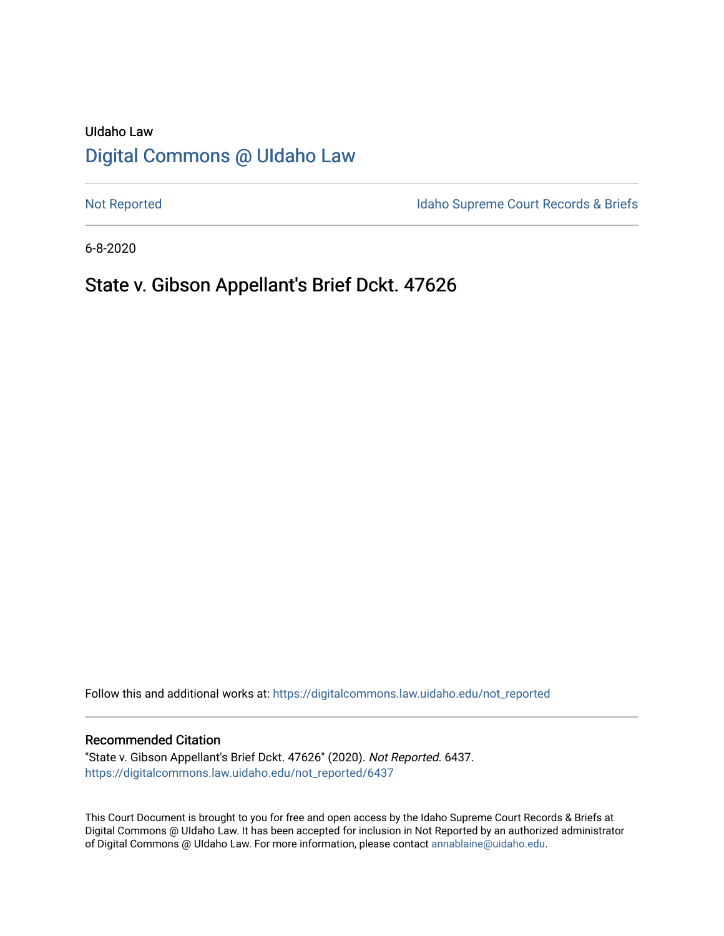# UIdaho Law [Digital Commons @ UIdaho Law](https://digitalcommons.law.uidaho.edu/)

[Not Reported](https://digitalcommons.law.uidaho.edu/not_reported) **Idaho Supreme Court Records & Briefs** 

6-8-2020

# State v. Gibson Appellant's Brief Dckt. 47626

Follow this and additional works at: [https://digitalcommons.law.uidaho.edu/not\\_reported](https://digitalcommons.law.uidaho.edu/not_reported?utm_source=digitalcommons.law.uidaho.edu%2Fnot_reported%2F6437&utm_medium=PDF&utm_campaign=PDFCoverPages) 

#### Recommended Citation

"State v. Gibson Appellant's Brief Dckt. 47626" (2020). Not Reported. 6437. [https://digitalcommons.law.uidaho.edu/not\\_reported/6437](https://digitalcommons.law.uidaho.edu/not_reported/6437?utm_source=digitalcommons.law.uidaho.edu%2Fnot_reported%2F6437&utm_medium=PDF&utm_campaign=PDFCoverPages)

This Court Document is brought to you for free and open access by the Idaho Supreme Court Records & Briefs at Digital Commons @ UIdaho Law. It has been accepted for inclusion in Not Reported by an authorized administrator of Digital Commons @ UIdaho Law. For more information, please contact [annablaine@uidaho.edu](mailto:annablaine@uidaho.edu).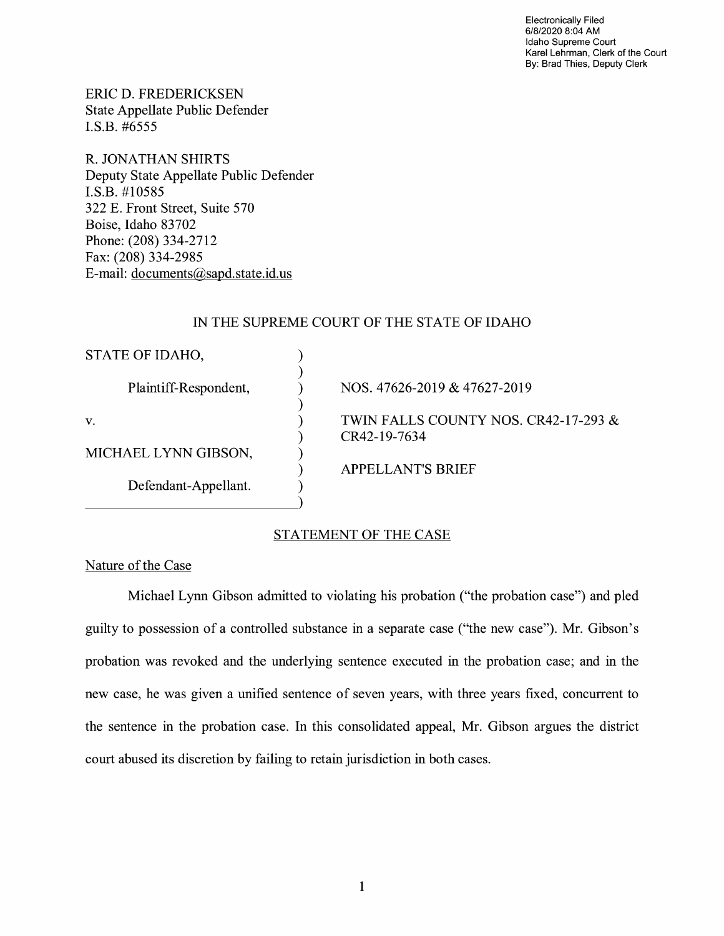Electronically Filed 6/8/2020 8:04 AM Idaho Supreme Court Karel Lehrman, Clerk of the Court By: Brad Thies, Deputy Clerk

ERIC D. FREDERICKSEN State Appellate Public Defender I.S.B. #6555

R. JONATHAN SHIRTS Deputy State Appellate Public Defender I.S.B. #10585 322 E. Front Street, Suite 570 Boise, Idaho 83702 Phone: (208) 334-2712 Fax: (208) 334-2985 E-mail: documents@sapd.state.id. us

## IN THE SUPREME COURT OF THE STATE OF IDAHO

| NOS. 47626-2019 & 47627-2019                         |
|------------------------------------------------------|
| TWIN FALLS COUNTY NOS. CR42-17-293 &<br>CR42-19-7634 |
|                                                      |
| <b>APPELLANT'S BRIEF</b>                             |
|                                                      |
|                                                      |

## STATEMENT OF THE CASE

Nature of the Case

Michael Lynn Gibson admitted to violating his probation ("the probation case") and pied guilty to possession of a controlled substance in a separate case ("the new case"). Mr. Gibson's probation was revoked and the underlying sentence executed in the probation case; and in the new case, he was given a unified sentence of seven years, with three years fixed, concurrent to the sentence in the probation case. In this consolidated appeal, Mr. Gibson argues the district court abused its discretion by failing to retain jurisdiction in both cases.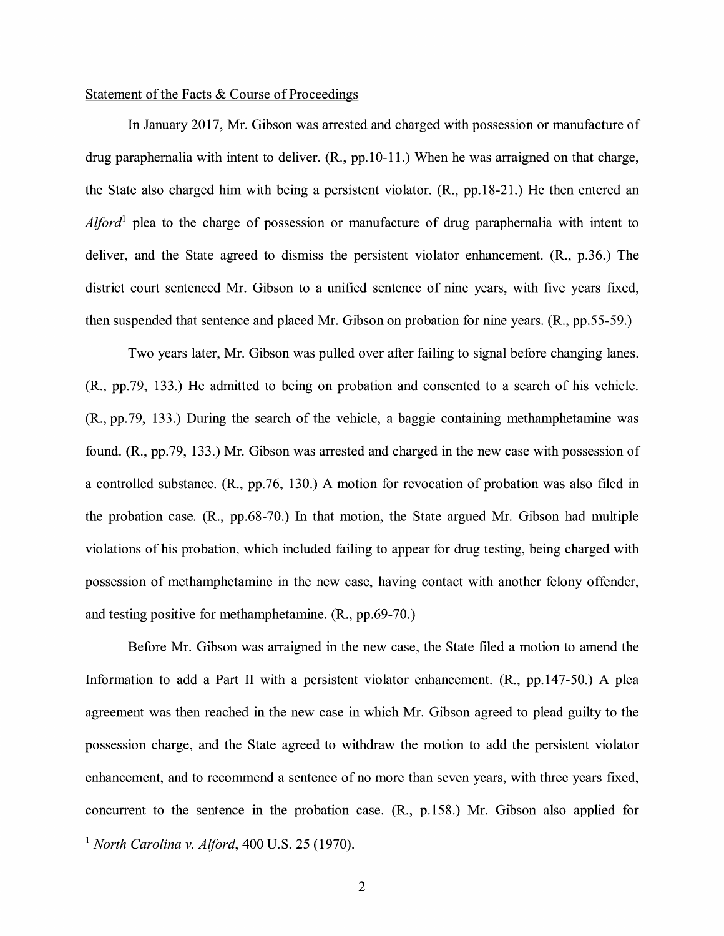### Statement of the Facts & Course of Proceedings

In January 2017, Mr. Gibson was arrested and charged with possession or manufacture of drug paraphernalia with intent to deliver. (R., pp.10-11.) When he was arraigned on that charge, the State also charged him with being a persistent violator. **(R.,** pp.18-21.) He then entered an *Alford*<sup>1</sup> plea to the charge of possession or manufacture of drug paraphernalia with intent to deliver, and the State agreed to dismiss the persistent violator enhancement. (R., p.36.) The district court sentenced Mr. Gibson to a unified sentence of nine years, with five years fixed, then suspended that sentence and placed Mr. Gibson on probation for nine years. **(R.,** pp.55-59.)

Two years later, Mr. Gibson was pulled over after failing to signal before changing lanes. (R., pp.79, 133.) He admitted to being on probation and consented to a search of his vehicle. (R., pp.79, 133.) During the search of the vehicle, a baggie containing methamphetamine was found. (R., pp.79, 133.) Mr. Gibson was arrested and charged in the new case with possession of a controlled substance. (R., pp.76, 130.) A motion for revocation of probation was also filed in the probation case. (R., pp.68-70.) In that motion, the State argued Mr. Gibson had multiple violations of his probation, which included failing to appear for drug testing, being charged with possession of methamphetamine in the new case, having contact with another felony offender, and testing positive for methamphetamine. (R., pp.69-70.)

Before Mr. Gibson was arraigned in the new case, the State filed a motion to amend the Information to add a Part II with a persistent violator enhancement. (R., pp.147-50.) A plea agreement was then reached in the new case in which Mr. Gibson agreed to plead guilty to the possession charge, and the State agreed to withdraw the motion to add the persistent violator enhancement, and to recommend a sentence of no more than seven years, with three years fixed, concurrent to the sentence in the probation case. (R., p.158.) Mr. Gibson also applied for

<sup>1</sup>*North Carolina v. Alford,* 400 U.S. 25 (1970).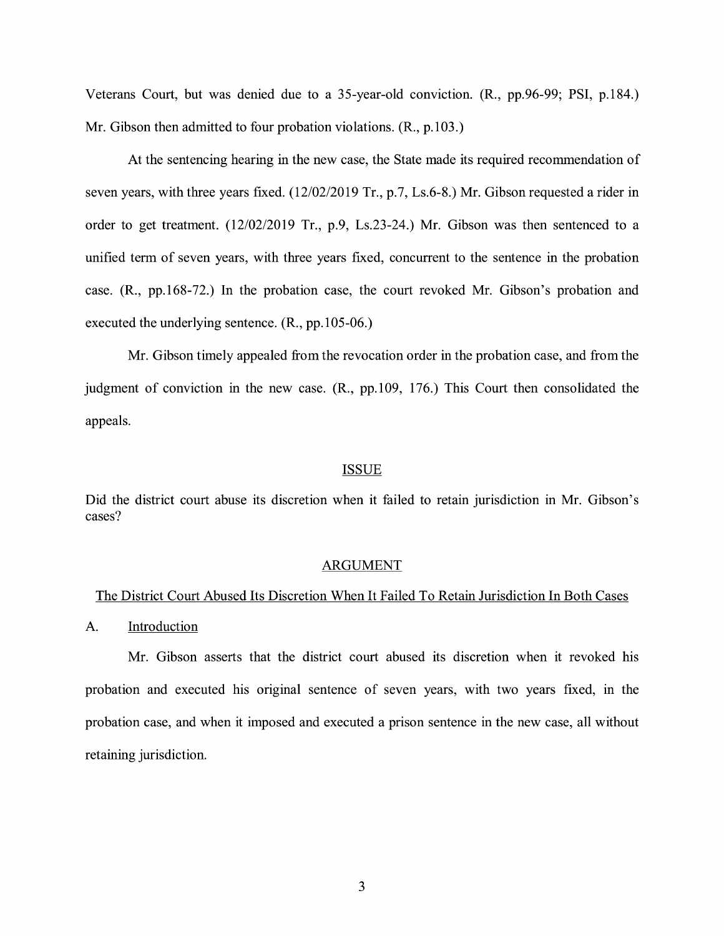Veterans Court, but was denied due to a 35-year-old conviction. (R., pp.96-99; PSI, p.184.) Mr. Gibson then admitted to four probation violations. (R., p.103.)

At the sentencing hearing in the new case, the State made its required recommendation of seven years, with three years fixed. (12/02/2019 Tr., p.7, Ls.6-8.) Mr. Gibson requested a rider in order to get treatment. (12/02/2019 Tr., p.9, Ls.23-24.) Mr. Gibson was then sentenced to a unified term of seven years, with three years fixed, concurrent to the sentence in the probation case. (R., pp.168-72.) In the probation case, the court revoked Mr. Gibson's probation and executed the underlying sentence. (R., pp.105-06.)

Mr. Gibson timely appealed from the revocation order in the probation case, and from the judgment of conviction in the new case. (R., pp.109, 176.) This Court then consolidated the appeals.

#### ISSUE

Did the district court abuse its discretion when it failed to retain jurisdiction in Mr. Gibson's cases?

#### ARGUMENT

#### The District Court Abused Its Discretion When It Failed To Retain Jurisdiction In Both Cases

#### A. Introduction

Mr. Gibson asserts that the district court abused its discretion when it revoked his probation and executed his original sentence of seven years, with two years fixed, in the probation case, and when it imposed and executed a prison sentence in the new case, all without retaining jurisdiction.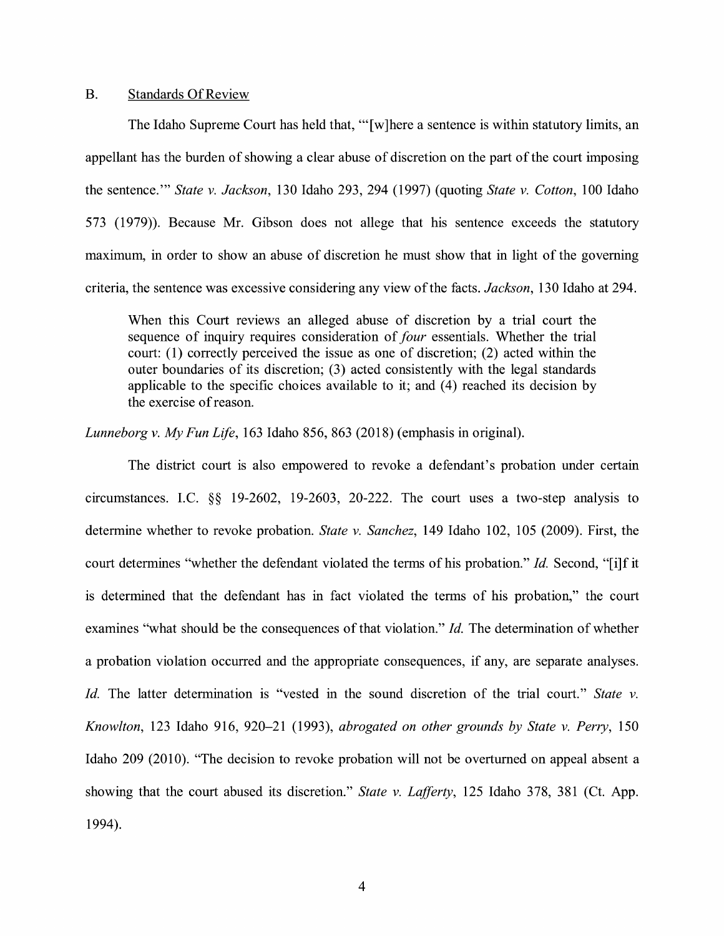#### B. Standards Of Review

The Idaho Supreme Court has held that, "'[w]here a sentence is within statutory limits, an appellant has the burden of showing a clear abuse of discretion on the part of the court imposing the sentence."' *State v. Jackson,* 130 Idaho 293, 294 (1997) (quoting *State v. Cotton,* 100 Idaho 573 (1979)). Because Mr. Gibson does not allege that his sentence exceeds the statutory maximum, in order to show an abuse of discretion he must show that in light of the governing criteria, the sentence was excessive considering any view of the facts. *Jackson,* 130 Idaho at 294.

When this Court reviews an alleged abuse of discretion by a trial court the sequence of inquiry requires consideration of *four* essentials. Whether the trial court: (1) correctly perceived the issue as one of discretion; (2) acted within the outer boundaries of its discretion; (3) acted consistently with the legal standards applicable to the specific choices available to it; and  $(4)$  reached its decision by the exercise of reason.

*Lunneborg v. My Fun Life,* 163 Idaho 856, 863 (2018) (emphasis in original).

The district court is also empowered to revoke a defendant's probation under certain circumstances. LC. §§ 19-2602, 19-2603, 20-222. The court uses a two-step analysis to determine whether to revoke probation. *State v. Sanchez,* 149 Idaho 102, 105 (2009). First, the court determines "whether the defendant violated the terms of his probation." *Id.* Second, "[i]f it is determined that the defendant has in fact violated the terms of his probation," the court examines "what should be the consequences of that violation." *Id.* The determination of whether a probation violation occurred and the appropriate consequences, if any, are separate analyses. *Id.* The latter determination is "vested in the sound discretion of the trial court." *State v. Knowlton,* 123 Idaho 916, 920-21 (1993), *abrogated on other grounds by State v. Perry,* 150 Idaho 209 (2010). "The decision to revoke probation will not be overturned on appeal absent a showing that the court abused its discretion." *State v. Lafferty,* 125 Idaho 378, 381 (Ct. App. 1994).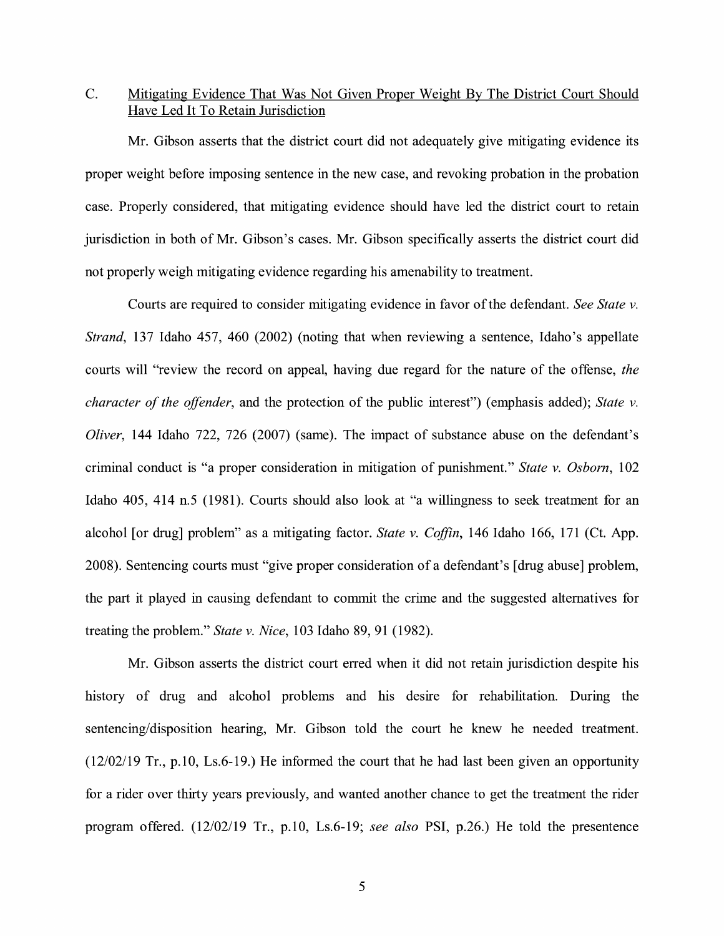# C. Mitigating Evidence That Was Not Given Proper Weight By The District Court Should Have Led It To Retain Jurisdiction

Mr. Gibson asserts that the district court did not adequately give mitigating evidence its proper weight before imposing sentence in the new case, and revoking probation in the probation case. Properly considered, that mitigating evidence should have led the district court to retain jurisdiction in both of Mr. Gibson's cases. Mr. Gibson specifically asserts the district court did not properly weigh mitigating evidence regarding his amenability to treatment.

Courts are required to consider mitigating evidence in favor of the defendant. *See State v. Strand,* 137 Idaho 457, 460 (2002) (noting that when reviewing a sentence, Idaho's appellate courts will "review the record on appeal, having due regard for the nature of the offense, *the character of the offender,* and the protection of the public interest") (emphasis added); *State v. Oliver,* 144 Idaho 722, 726 (2007) (same). The impact of substance abuse on the defendant's criminal conduct is "a proper consideration in mitigation of punishment." *State v. Osborn,* 102 Idaho 405, 414 n.5 (1981). Courts should also look at "a willingness to seek treatment for an alcohol [or drug] problem" as a mitigating factor. *State v. Coffin,* 146 Idaho 166, 171 (Ct. App. 2008). Sentencing courts must "give proper consideration of a defendant's [ drug abuse] problem, the part it played in causing defendant to commit the crime and the suggested alternatives for treating the problem." *State v. Nice,* 103 Idaho 89, 91 (1982).

Mr. Gibson asserts the district court erred when it did not retain jurisdiction despite his history of drug and alcohol problems and his desire for rehabilitation. During the sentencing/disposition hearing, Mr. Gibson told the court he knew he needed treatment. (12/02/19 Tr., p.10, Ls.6-19.) He informed the court that he had last been given an opportunity for a rider over thirty years previously, and wanted another chance to get the treatment the rider program offered. (12/02/19 Tr., p.10, Ls.6-19; *see also* PSI, p.26.) He told the presentence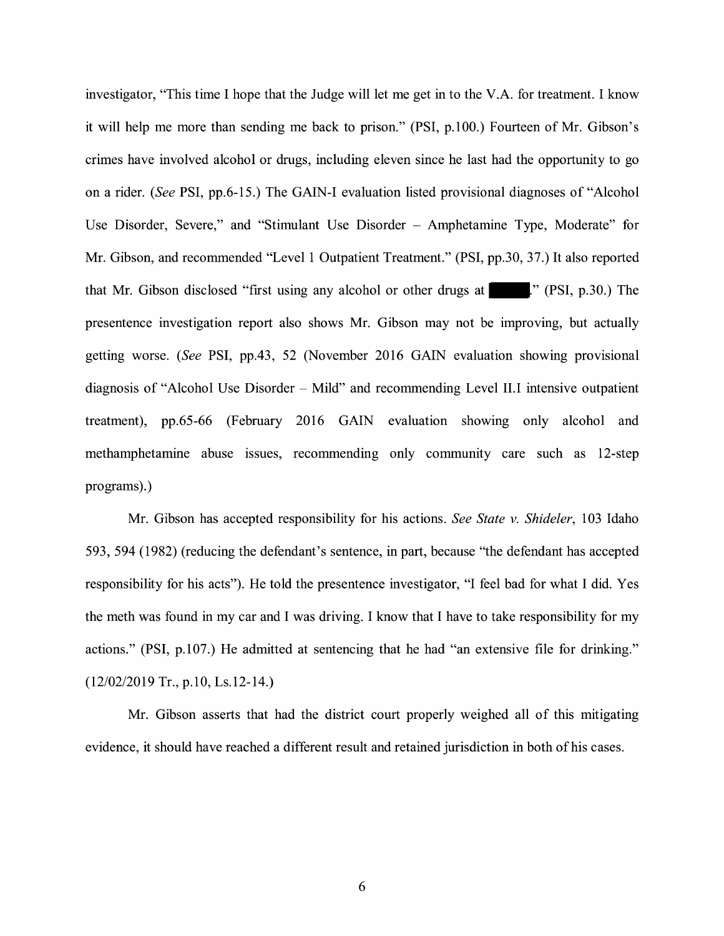investigator, "This time I hope that the Judge will let me get in to the V.A. for treatment. I know it will help me more than sending me back to prison." (PSI, p.100.) Fourteen of Mr. Gibson's crimes have involved alcohol or drugs, including eleven since he last had the opportunity to go on a rider. *(See* PSI, pp.6-15.) The GAIN-I evaluation listed provisional diagnoses of "Alcohol Use Disorder, Severe," and "Stimulant Use Disorder - Amphetamine Type, Moderate" for Mr. Gibson, and recommended "Level 1 Outpatient Treatment." (PSI, pp.30, 37.) It also reported that Mr. Gibson disclosed "first using any alcohol or other drugs at  $\vert$  ." (PSI, p.30.) The presentence investigation report also shows Mr. Gibson may not be improving, but actually getting worse. *(See* PSI, pp.43, 52 (November 2016 GAIN evaluation showing provisional diagnosis of "Alcohol Use Disorder – Mild" and recommending Level II.I intensive outpatient treatment), pp.65-66 (February 2016 GAIN evaluation showing only alcohol and methamphetamine abuse issues, recommending only community care such as 12-step programs).)

Mr. Gibson has accepted responsibility for his actions. *See State v. Shideler,* 103 Idaho 593, 594 (1982) (reducing the defendant's sentence, in part, because "the defendant has accepted responsibility for his acts"). He told the presentence investigator, "I feel bad for what I did. Yes the meth was found in my car and I was driving. I know that I have to take responsibility for my actions." **(PSI,** p.107.) He admitted at sentencing that he had "an extensive file for drinking." (12/02/2019 Tr., p.10, Ls.12-14.)

Mr. Gibson asserts that had the district court properly weighed all of this mitigating evidence, it should have reached a different result and retained jurisdiction in both of his cases.